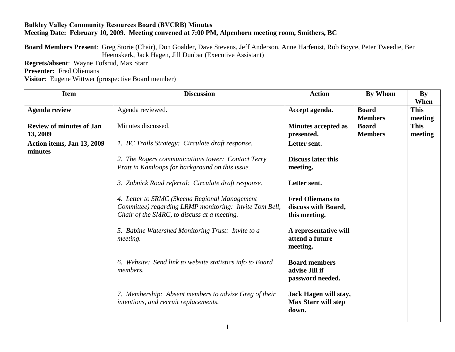## **Bulkley Valley Community Resources Board (BVCRB) Minutes Meeting Date: February 10, 2009. Meeting convened at 7:00 PM, Alpenhorn meeting room, Smithers, BC**

**Board Members Present**: Greg Storie (Chair), Don Goalder, Dave Stevens, Jeff Anderson, Anne Harfenist, Rob Boyce, Peter Tweedie, Ben Heemskerk, Jack Hagen, Jill Dunbar (Executive Assistant)

**Regrets/absent**: Wayne Tofsrud, Max Starr

**Presenter:** Fred Oliemans

**Visitor**: Eugene Wittwer (prospective Board member)

| <b>Item</b>                     | <b>Discussion</b>                                                                                                                                      | <b>Action</b>                                                   | By Whom        | <b>By</b><br>When |
|---------------------------------|--------------------------------------------------------------------------------------------------------------------------------------------------------|-----------------------------------------------------------------|----------------|-------------------|
| <b>Agenda review</b>            | Agenda reviewed.                                                                                                                                       | Accept agenda.                                                  | <b>Board</b>   | <b>This</b>       |
|                                 |                                                                                                                                                        |                                                                 | <b>Members</b> | meeting           |
| <b>Review of minutes of Jan</b> | Minutes discussed.                                                                                                                                     | <b>Minutes accepted as</b>                                      | <b>Board</b>   | <b>This</b>       |
| 13, 2009                        |                                                                                                                                                        | presented.                                                      | <b>Members</b> | meeting           |
| Action items, Jan 13, 2009      | 1. BC Trails Strategy: Circulate draft response.                                                                                                       | Letter sent.                                                    |                |                   |
| minutes                         |                                                                                                                                                        |                                                                 |                |                   |
|                                 | 2. The Rogers communications tower: Contact Terry                                                                                                      | <b>Discuss later this</b>                                       |                |                   |
|                                 | Pratt in Kamloops for background on this issue.                                                                                                        | meeting.                                                        |                |                   |
|                                 |                                                                                                                                                        |                                                                 |                |                   |
|                                 | 3. Zobnick Road referral: Circulate draft response.                                                                                                    | Letter sent.                                                    |                |                   |
|                                 | 4. Letter to SRMC (Skeena Regional Management<br>Committee) regarding LRMP monitoring: Invite Tom Bell,<br>Chair of the SMRC, to discuss at a meeting. | <b>Fred Oliemans to</b><br>discuss with Board,<br>this meeting. |                |                   |
|                                 | 5. Babine Watershed Monitoring Trust: Invite to a<br><i>meeting.</i>                                                                                   | A representative will<br>attend a future<br>meeting.            |                |                   |
|                                 | 6. Website: Send link to website statistics info to Board<br><i>members.</i>                                                                           | <b>Board members</b><br>advise Jill if<br>password needed.      |                |                   |
|                                 | 7. Membership: Absent members to advise Greg of their<br>intentions, and recruit replacements.                                                         | Jack Hagen will stay,<br><b>Max Starr will step</b><br>down.    |                |                   |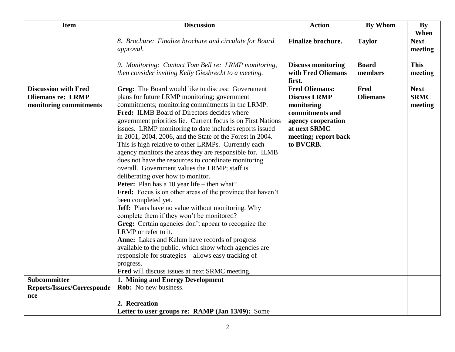| <b>Item</b>                                                                       | <b>Discussion</b>                                                                                                                                                                                                                                                                                                                                                                                                                                                                                                                                                                                                                                                                                                                                                                                                                                                                                                                                                                                                                                                                                                                                                                                                                            | <b>Action</b>                                                                                                                                            | <b>By Whom</b>                 | By                                    |
|-----------------------------------------------------------------------------------|----------------------------------------------------------------------------------------------------------------------------------------------------------------------------------------------------------------------------------------------------------------------------------------------------------------------------------------------------------------------------------------------------------------------------------------------------------------------------------------------------------------------------------------------------------------------------------------------------------------------------------------------------------------------------------------------------------------------------------------------------------------------------------------------------------------------------------------------------------------------------------------------------------------------------------------------------------------------------------------------------------------------------------------------------------------------------------------------------------------------------------------------------------------------------------------------------------------------------------------------|----------------------------------------------------------------------------------------------------------------------------------------------------------|--------------------------------|---------------------------------------|
|                                                                                   | 8. Brochure: Finalize brochure and circulate for Board<br>approval.                                                                                                                                                                                                                                                                                                                                                                                                                                                                                                                                                                                                                                                                                                                                                                                                                                                                                                                                                                                                                                                                                                                                                                          | <b>Finalize brochure.</b>                                                                                                                                | <b>Taylor</b>                  | When<br><b>Next</b><br>meeting        |
|                                                                                   | 9. Monitoring: Contact Tom Bell re: LRMP monitoring,<br>then consider inviting Kelly Giesbrecht to a meeting.                                                                                                                                                                                                                                                                                                                                                                                                                                                                                                                                                                                                                                                                                                                                                                                                                                                                                                                                                                                                                                                                                                                                | <b>Discuss monitoring</b><br>with Fred Oliemans<br>first.                                                                                                | <b>Board</b><br>members        | <b>This</b><br>meeting                |
| <b>Discussion with Fred</b><br><b>Oliemans re: LRMP</b><br>monitoring commitments | Greg: The Board would like to discuss: Government<br>plans for future LRMP monitoring; government<br>commitments; monitoring commitments in the LRMP.<br><b>Fred:</b> ILMB Board of Directors decides where<br>government priorities lie. Current focus is on First Nations<br>issues. LRMP monitoring to date includes reports issued<br>in 2001, 2004, 2006, and the State of the Forest in 2004.<br>This is high relative to other LRMPs. Currently each<br>agency monitors the areas they are responsible for. ILMB<br>does not have the resources to coordinate monitoring<br>overall. Government values the LRMP; staff is<br>deliberating over how to monitor.<br><b>Peter:</b> Plan has a 10 year life – then what?<br>Fred: Focus is on other areas of the province that haven't<br>been completed yet.<br><b>Jeff:</b> Plans have no value without monitoring. Why<br>complete them if they won't be monitored?<br>Greg: Certain agencies don't appear to recognize the<br>LRMP or refer to it.<br>Anne: Lakes and Kalum have records of progress<br>available to the public, which show which agencies are<br>responsible for strategies – allows easy tracking of<br>progress.<br>Fred will discuss issues at next SRMC meeting. | <b>Fred Oliemans:</b><br><b>Discuss LRMP</b><br>monitoring<br>commitments and<br>agency cooperation<br>at next SRMC<br>meeting; report back<br>to BVCRB. | <b>Fred</b><br><b>Oliemans</b> | <b>Next</b><br><b>SRMC</b><br>meeting |
| <b>Subcommittee</b>                                                               | 1. Mining and Energy Development                                                                                                                                                                                                                                                                                                                                                                                                                                                                                                                                                                                                                                                                                                                                                                                                                                                                                                                                                                                                                                                                                                                                                                                                             |                                                                                                                                                          |                                |                                       |
| <b>Reports/Issues/Corresponde</b>                                                 | Rob: No new business.                                                                                                                                                                                                                                                                                                                                                                                                                                                                                                                                                                                                                                                                                                                                                                                                                                                                                                                                                                                                                                                                                                                                                                                                                        |                                                                                                                                                          |                                |                                       |
| nce                                                                               |                                                                                                                                                                                                                                                                                                                                                                                                                                                                                                                                                                                                                                                                                                                                                                                                                                                                                                                                                                                                                                                                                                                                                                                                                                              |                                                                                                                                                          |                                |                                       |
|                                                                                   | 2. Recreation<br>Letter to user groups re: RAMP (Jan 13/09): Some                                                                                                                                                                                                                                                                                                                                                                                                                                                                                                                                                                                                                                                                                                                                                                                                                                                                                                                                                                                                                                                                                                                                                                            |                                                                                                                                                          |                                |                                       |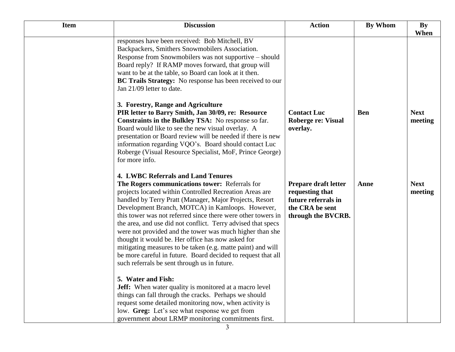| <b>Item</b> | <b>Discussion</b>                                                                                                                                                                                                                                                                                                                                                                                                                                                                                                                                                                                                                                                                                     | <b>Action</b>                                                                                           | By Whom    | <b>By</b><br>When      |
|-------------|-------------------------------------------------------------------------------------------------------------------------------------------------------------------------------------------------------------------------------------------------------------------------------------------------------------------------------------------------------------------------------------------------------------------------------------------------------------------------------------------------------------------------------------------------------------------------------------------------------------------------------------------------------------------------------------------------------|---------------------------------------------------------------------------------------------------------|------------|------------------------|
|             | responses have been received: Bob Mitchell, BV<br>Backpackers, Smithers Snowmobilers Association.<br>Response from Snowmobilers was not supportive – should<br>Board reply? If RAMP moves forward, that group will<br>want to be at the table, so Board can look at it then.<br>BC Trails Strategy: No response has been received to our<br>Jan 21/09 letter to date.                                                                                                                                                                                                                                                                                                                                 |                                                                                                         |            |                        |
|             | 3. Forestry, Range and Agriculture<br>PIR letter to Barry Smith, Jan 30/09, re: Resource<br>Constraints in the Bulkley TSA: No response so far.<br>Board would like to see the new visual overlay. A<br>presentation or Board review will be needed if there is new<br>information regarding VQO's. Board should contact Luc<br>Roberge (Visual Resource Specialist, MoF, Prince George)<br>for more info.                                                                                                                                                                                                                                                                                            | <b>Contact Luc</b><br>Roberge re: Visual<br>overlay.                                                    | <b>Ben</b> | <b>Next</b><br>meeting |
|             | <b>4. LWBC Referrals and Land Tenures</b><br>The Rogers communications tower: Referrals for<br>projects located within Controlled Recreation Areas are<br>handled by Terry Pratt (Manager, Major Projects, Resort<br>Development Branch, MOTCA) in Kamloops. However,<br>this tower was not referred since there were other towers in<br>the area, and use did not conflict. Terry advised that specs<br>were not provided and the tower was much higher than she<br>thought it would be. Her office has now asked for<br>mitigating measures to be taken (e.g. matte paint) and will<br>be more careful in future. Board decided to request that all<br>such referrals be sent through us in future. | Prepare draft letter<br>requesting that<br>future referrals in<br>the CRA be sent<br>through the BVCRB. | Anne       | <b>Next</b><br>meeting |
|             | 5. Water and Fish:<br><b>Jeff:</b> When water quality is monitored at a macro level<br>things can fall through the cracks. Perhaps we should<br>request some detailed monitoring now, when activity is<br>low. Greg: Let's see what response we get from<br>government about LRMP monitoring commitments first.                                                                                                                                                                                                                                                                                                                                                                                       |                                                                                                         |            |                        |